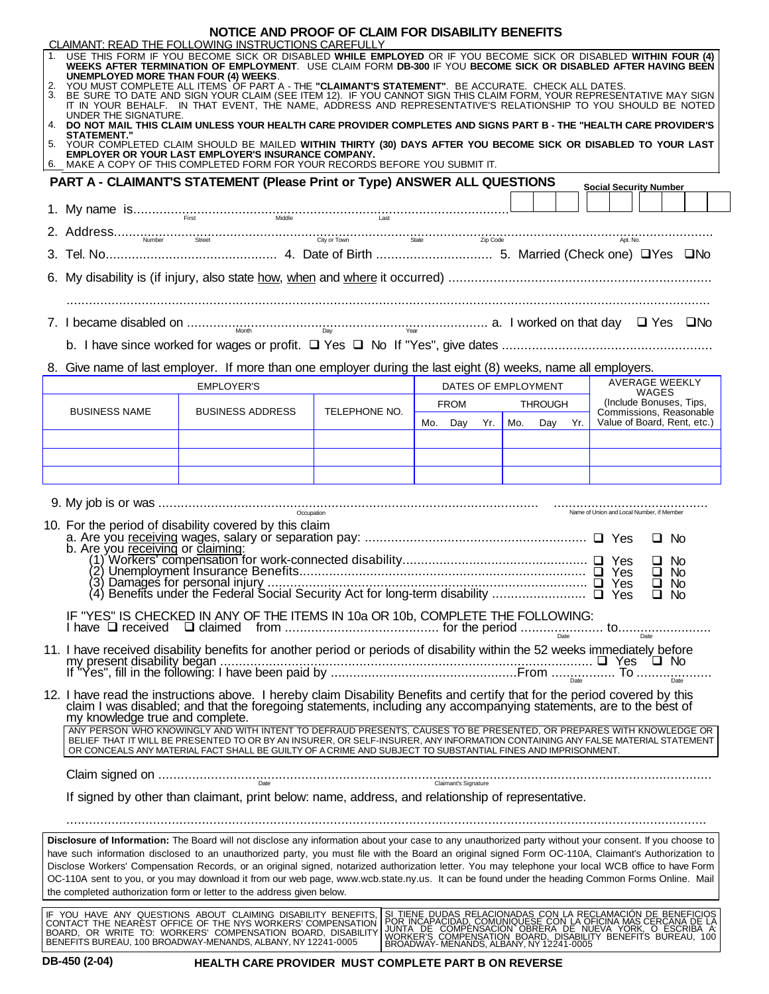| NOTICE AND PROOF OF CLAIM FOR DISABILITY BENEFITS                                                                                                                                                                                                                                                                                                                                                                                            |                                                                                                                                                                                                                                                                                     |                                                                                                                                                                                                                                                                                                                                                                                                                                                                      |               |                                                                                                                                                                                                                                         |                     |                                                        |                         |  |  |  |  |  |
|----------------------------------------------------------------------------------------------------------------------------------------------------------------------------------------------------------------------------------------------------------------------------------------------------------------------------------------------------------------------------------------------------------------------------------------------|-------------------------------------------------------------------------------------------------------------------------------------------------------------------------------------------------------------------------------------------------------------------------------------|----------------------------------------------------------------------------------------------------------------------------------------------------------------------------------------------------------------------------------------------------------------------------------------------------------------------------------------------------------------------------------------------------------------------------------------------------------------------|---------------|-----------------------------------------------------------------------------------------------------------------------------------------------------------------------------------------------------------------------------------------|---------------------|--------------------------------------------------------|-------------------------|--|--|--|--|--|
| CLAIMANT: READ THE FOLLOWING INSTRUCTIONS CAREFULLY<br>USE THIS FORM IF YOU BECOME SICK OR DISABLED WHILE EMPLOYED OR IF YOU BECOME SICK OR DISABLED WITHIN FOUR (4)<br>WEEKS AFTER TERMINATION OF EMPLOYMENT. USE CLAIM FORM DB-300 IF YOU BECOME SICK OR DISABLED AFTER HAVING BEEN<br><b>UNEMPLOYED MORE THAN FOUR (4) WEEKS.</b><br>2. YOU MUST COMPLETE ALL ITEMS OF PART A - THE "CLAIMANT'S STATEMENT". BE ACCURATE. CHECK ALL DATES. |                                                                                                                                                                                                                                                                                     |                                                                                                                                                                                                                                                                                                                                                                                                                                                                      |               |                                                                                                                                                                                                                                         |                     |                                                        |                         |  |  |  |  |  |
|                                                                                                                                                                                                                                                                                                                                                                                                                                              | 3. BE SURE TO DATE AND SIGN YOUR CLAIM (SEE ITEM 12). IF YOU CANNOT SIGN THIS CLAIM FORM, YOUR REPRESENTATIVE MAY SIGN<br>IT IN YOUR BEHALF. IN THAT EVENT, THE NAME, ADDRESS AND REPRESENTATIVE'S RELATIONSHIP TO YOU SHOULD BE NOTED                                              |                                                                                                                                                                                                                                                                                                                                                                                                                                                                      |               |                                                                                                                                                                                                                                         |                     |                                                        |                         |  |  |  |  |  |
|                                                                                                                                                                                                                                                                                                                                                                                                                                              | UNDER THE SIGNATURE.<br>4. DO NOT MAIL THIS CLAIM UNLESS YOUR HEALTH CARE PROVIDER COMPLETES AND SIGNS PART B - THE "HEALTH CARE PROVIDER'S                                                                                                                                         |                                                                                                                                                                                                                                                                                                                                                                                                                                                                      |               |                                                                                                                                                                                                                                         |                     |                                                        |                         |  |  |  |  |  |
| <b>STATEMENT.'</b><br>5. YOUR COMPLETED CLAIM SHOULD BE MAILED WITHIN THIRTY (30) DAYS AFTER YOU BECOME SICK OR DISABLED TO YOUR LAST<br>EMPLOYER OR YOUR LAST EMPLOYER'S INSURANCE COMPANY.                                                                                                                                                                                                                                                 |                                                                                                                                                                                                                                                                                     |                                                                                                                                                                                                                                                                                                                                                                                                                                                                      |               |                                                                                                                                                                                                                                         |                     |                                                        |                         |  |  |  |  |  |
| 6. MAKE A COPY OF THIS COMPLETED FORM FOR YOUR RECORDS BEFORE YOU SUBMIT IT.<br><b>PART A - CLAIMANT'S STATEMENT (Please Print or Type) ANSWER ALL QUESTIONS</b>                                                                                                                                                                                                                                                                             |                                                                                                                                                                                                                                                                                     |                                                                                                                                                                                                                                                                                                                                                                                                                                                                      |               |                                                                                                                                                                                                                                         |                     |                                                        |                         |  |  |  |  |  |
|                                                                                                                                                                                                                                                                                                                                                                                                                                              |                                                                                                                                                                                                                                                                                     |                                                                                                                                                                                                                                                                                                                                                                                                                                                                      |               |                                                                                                                                                                                                                                         |                     | <b>Social Security Number</b>                          |                         |  |  |  |  |  |
|                                                                                                                                                                                                                                                                                                                                                                                                                                              |                                                                                                                                                                                                                                                                                     | $2. Address\textit{Number} \underbrace{\textit{Stree}}_{\textit{Number}} \underbrace{\textit{Sty or Town}}_{\textit{Sty or Town}} \underbrace{\textit{Sty or Town}}_{\textit{Sty or Town}} \underbrace{\textit{Sty}}_{\textit{TgP Code}} \underbrace{\textit{Code}}_{\textit{2p Code}} \underbrace{\textit{Code}}_{\textit{2p.}~\textit{Code}} \textit{2p.}~\textit{2p.}~\textit{2p.}~\textit{2p.}~\textit{2p.}~\textit{2p.}~\textit{2p.}~\textit{2p.}~\textit{2p.}$ |               |                                                                                                                                                                                                                                         |                     |                                                        |                         |  |  |  |  |  |
|                                                                                                                                                                                                                                                                                                                                                                                                                                              |                                                                                                                                                                                                                                                                                     |                                                                                                                                                                                                                                                                                                                                                                                                                                                                      |               |                                                                                                                                                                                                                                         |                     |                                                        |                         |  |  |  |  |  |
|                                                                                                                                                                                                                                                                                                                                                                                                                                              |                                                                                                                                                                                                                                                                                     |                                                                                                                                                                                                                                                                                                                                                                                                                                                                      |               |                                                                                                                                                                                                                                         |                     |                                                        |                         |  |  |  |  |  |
|                                                                                                                                                                                                                                                                                                                                                                                                                                              |                                                                                                                                                                                                                                                                                     |                                                                                                                                                                                                                                                                                                                                                                                                                                                                      |               |                                                                                                                                                                                                                                         |                     |                                                        |                         |  |  |  |  |  |
|                                                                                                                                                                                                                                                                                                                                                                                                                                              |                                                                                                                                                                                                                                                                                     |                                                                                                                                                                                                                                                                                                                                                                                                                                                                      |               |                                                                                                                                                                                                                                         |                     |                                                        |                         |  |  |  |  |  |
|                                                                                                                                                                                                                                                                                                                                                                                                                                              |                                                                                                                                                                                                                                                                                     | 8. Give name of last employer. If more than one employer during the last eight (8) weeks, name all employers.                                                                                                                                                                                                                                                                                                                                                        |               |                                                                                                                                                                                                                                         |                     |                                                        |                         |  |  |  |  |  |
|                                                                                                                                                                                                                                                                                                                                                                                                                                              |                                                                                                                                                                                                                                                                                     | <b>EMPLOYER'S</b>                                                                                                                                                                                                                                                                                                                                                                                                                                                    |               |                                                                                                                                                                                                                                         | DATES OF EMPLOYMENT |                                                        | AVERAGE WEEKLY<br>WAGES |  |  |  |  |  |
|                                                                                                                                                                                                                                                                                                                                                                                                                                              | <b>BUSINESS NAME</b>                                                                                                                                                                                                                                                                | <b>BUSINESS ADDRESS</b>                                                                                                                                                                                                                                                                                                                                                                                                                                              | TELEPHONE NO. | <b>FROM</b>                                                                                                                                                                                                                             | <b>THROUGH</b>      | Commissions, Reasonable<br>Value of Board, Rent, etc.) | (Include Bonuses, Tips, |  |  |  |  |  |
|                                                                                                                                                                                                                                                                                                                                                                                                                                              |                                                                                                                                                                                                                                                                                     |                                                                                                                                                                                                                                                                                                                                                                                                                                                                      |               | Mo. Day<br>Yr.                                                                                                                                                                                                                          | Mo.<br>Day Yr.      |                                                        |                         |  |  |  |  |  |
|                                                                                                                                                                                                                                                                                                                                                                                                                                              |                                                                                                                                                                                                                                                                                     |                                                                                                                                                                                                                                                                                                                                                                                                                                                                      |               |                                                                                                                                                                                                                                         |                     |                                                        |                         |  |  |  |  |  |
|                                                                                                                                                                                                                                                                                                                                                                                                                                              |                                                                                                                                                                                                                                                                                     |                                                                                                                                                                                                                                                                                                                                                                                                                                                                      |               |                                                                                                                                                                                                                                         |                     |                                                        |                         |  |  |  |  |  |
|                                                                                                                                                                                                                                                                                                                                                                                                                                              |                                                                                                                                                                                                                                                                                     |                                                                                                                                                                                                                                                                                                                                                                                                                                                                      |               |                                                                                                                                                                                                                                         |                     | Name of Union and Local Number, if Member              |                         |  |  |  |  |  |
| 10. For the period of disability covered by this claim                                                                                                                                                                                                                                                                                                                                                                                       |                                                                                                                                                                                                                                                                                     |                                                                                                                                                                                                                                                                                                                                                                                                                                                                      |               |                                                                                                                                                                                                                                         |                     |                                                        |                         |  |  |  |  |  |
|                                                                                                                                                                                                                                                                                                                                                                                                                                              | $\Box$ No<br>b. Are you receiving or claiming:<br>U No                                                                                                                                                                                                                              |                                                                                                                                                                                                                                                                                                                                                                                                                                                                      |               |                                                                                                                                                                                                                                         |                     |                                                        |                         |  |  |  |  |  |
|                                                                                                                                                                                                                                                                                                                                                                                                                                              |                                                                                                                                                                                                                                                                                     |                                                                                                                                                                                                                                                                                                                                                                                                                                                                      |               |                                                                                                                                                                                                                                         |                     |                                                        | $\Box$ No               |  |  |  |  |  |
|                                                                                                                                                                                                                                                                                                                                                                                                                                              |                                                                                                                                                                                                                                                                                     |                                                                                                                                                                                                                                                                                                                                                                                                                                                                      |               |                                                                                                                                                                                                                                         |                     |                                                        |                         |  |  |  |  |  |
|                                                                                                                                                                                                                                                                                                                                                                                                                                              |                                                                                                                                                                                                                                                                                     |                                                                                                                                                                                                                                                                                                                                                                                                                                                                      |               |                                                                                                                                                                                                                                         |                     |                                                        |                         |  |  |  |  |  |
|                                                                                                                                                                                                                                                                                                                                                                                                                                              |                                                                                                                                                                                                                                                                                     | 11. I have received disability benefits for another period or periods of disability within the 52 weeks immediately before                                                                                                                                                                                                                                                                                                                                           |               |                                                                                                                                                                                                                                         |                     |                                                        |                         |  |  |  |  |  |
|                                                                                                                                                                                                                                                                                                                                                                                                                                              |                                                                                                                                                                                                                                                                                     |                                                                                                                                                                                                                                                                                                                                                                                                                                                                      |               |                                                                                                                                                                                                                                         |                     |                                                        |                         |  |  |  |  |  |
|                                                                                                                                                                                                                                                                                                                                                                                                                                              | 12. I have read the instructions above. I hereby claim Disability Benefits and certify that for the period covered by this<br>claim I was disabled; and that the foregoing statements, including any accompanying statements, are to the best of<br>my knowledge true and complete. |                                                                                                                                                                                                                                                                                                                                                                                                                                                                      |               |                                                                                                                                                                                                                                         |                     |                                                        |                         |  |  |  |  |  |
|                                                                                                                                                                                                                                                                                                                                                                                                                                              |                                                                                                                                                                                                                                                                                     | ANY PERSON WHO KNOWINGLY AND WITH INTENT TO DEFRAUD PRESENTS, CAUSES TO BE PRESENTED, OR PREPARES WITH KNOWLEDGE OR<br>BELIEF THAT IT WILL BE PRESENTED TO OR BY AN INSURER, OR SELF-INSURER, ANY INFORMATION CONTAINING ANY FALSE MATERIAL STATEMENT<br>OR CONCEALS ANY MATERIAL FACT SHALL BE GUILTY OF A CRIME AND SUBJECT TO SUBSTANTIAL FINES AND IMPRISONMENT.                                                                                                 |               |                                                                                                                                                                                                                                         |                     |                                                        |                         |  |  |  |  |  |
|                                                                                                                                                                                                                                                                                                                                                                                                                                              |                                                                                                                                                                                                                                                                                     |                                                                                                                                                                                                                                                                                                                                                                                                                                                                      |               |                                                                                                                                                                                                                                         |                     |                                                        |                         |  |  |  |  |  |
|                                                                                                                                                                                                                                                                                                                                                                                                                                              |                                                                                                                                                                                                                                                                                     | If signed by other than claimant, print below: name, address, and relationship of representative.                                                                                                                                                                                                                                                                                                                                                                    |               |                                                                                                                                                                                                                                         |                     |                                                        |                         |  |  |  |  |  |
|                                                                                                                                                                                                                                                                                                                                                                                                                                              |                                                                                                                                                                                                                                                                                     |                                                                                                                                                                                                                                                                                                                                                                                                                                                                      |               |                                                                                                                                                                                                                                         |                     |                                                        |                         |  |  |  |  |  |
|                                                                                                                                                                                                                                                                                                                                                                                                                                              |                                                                                                                                                                                                                                                                                     | Disclosure of Information: The Board will not disclose any information about your case to any unauthorized party without your consent. If you choose to                                                                                                                                                                                                                                                                                                              |               |                                                                                                                                                                                                                                         |                     |                                                        |                         |  |  |  |  |  |
| have such information disclosed to an unauthorized party, you must file with the Board an original signed Form OC-110A, Claimant's Authorization to<br>Disclose Workers' Compensation Records, or an original signed, notarized authorization letter. You may telephone your local WCB office to have Form                                                                                                                                   |                                                                                                                                                                                                                                                                                     |                                                                                                                                                                                                                                                                                                                                                                                                                                                                      |               |                                                                                                                                                                                                                                         |                     |                                                        |                         |  |  |  |  |  |
| OC-110A sent to you, or you may download it from our web page, www.wcb.state.ny.us. It can be found under the heading Common Forms Online. Mail<br>the completed authorization form or letter to the address given below.                                                                                                                                                                                                                    |                                                                                                                                                                                                                                                                                     |                                                                                                                                                                                                                                                                                                                                                                                                                                                                      |               |                                                                                                                                                                                                                                         |                     |                                                        |                         |  |  |  |  |  |
|                                                                                                                                                                                                                                                                                                                                                                                                                                              |                                                                                                                                                                                                                                                                                     | IF YOU HAVE ANY QUESTIONS ABOUT CLAIMING DISABILITY BENEFITS,                                                                                                                                                                                                                                                                                                                                                                                                        |               |                                                                                                                                                                                                                                         |                     |                                                        |                         |  |  |  |  |  |
|                                                                                                                                                                                                                                                                                                                                                                                                                                              |                                                                                                                                                                                                                                                                                     | CONTACT THE NEAREST OFFICE OF THE NYS WORKERS' COMPENSATION<br>BOARD, OR WRITE TO: WORKERS' COMPENSATION BOARD, DISABILITY                                                                                                                                                                                                                                                                                                                                           |               | SI TIENE DUDAS RELACIONADAS CON LA RECLAMACIÓN DE BENEFICIOS<br>POR INCAPACIDAD, COMUNIQUESE CON LA OFICINA MAS CERCANA DE LA<br>JUNTA DE COMPENSACION OBRERA DE NUEVA YORK, O ESCRIBA A:<br>WORKER'S COMPENSACION BOARD, DISABILITY BE |                     |                                                        |                         |  |  |  |  |  |

**DB-450 (2-04) HEALTH CARE PROVIDER MUST COMPLETE PART B ON REVERSE**